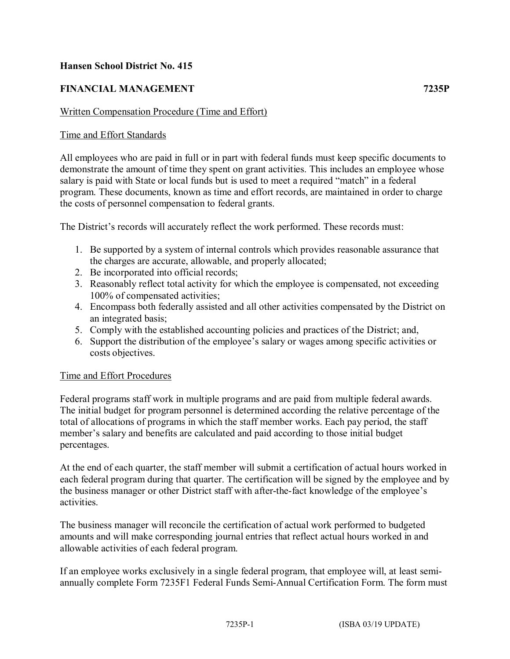## **Hansen School District No. 415**

# **FINANCIAL MANAGEMENT 7235P**

#### Written Compensation Procedure (Time and Effort)

## Time and Effort Standards

All employees who are paid in full or in part with federal funds must keep specific documents to demonstrate the amount of time they spent on grant activities. This includes an employee whose salary is paid with State or local funds but is used to meet a required "match" in a federal program. These documents, known as time and effort records, are maintained in order to charge the costs of personnel compensation to federal grants.

The District's records will accurately reflect the work performed. These records must:

- 1. Be supported by a system of internal controls which provides reasonable assurance that the charges are accurate, allowable, and properly allocated;
- 2. Be incorporated into official records;
- 3. Reasonably reflect total activity for which the employee is compensated, not exceeding 100% of compensated activities;
- 4. Encompass both federally assisted and all other activities compensated by the District on an integrated basis;
- 5. Comply with the established accounting policies and practices of the District; and,
- 6. Support the distribution of the employee's salary or wages among specific activities or costs objectives.

#### Time and Effort Procedures

Federal programs staff work in multiple programs and are paid from multiple federal awards. The initial budget for program personnel is determined according the relative percentage of the total of allocations of programs in which the staff member works. Each pay period, the staff member's salary and benefits are calculated and paid according to those initial budget percentages.

At the end of each quarter, the staff member will submit a certification of actual hours worked in each federal program during that quarter. The certification will be signed by the employee and by the business manager or other District staff with after-the-fact knowledge of the employee's activities.

The business manager will reconcile the certification of actual work performed to budgeted amounts and will make corresponding journal entries that reflect actual hours worked in and allowable activities of each federal program.

If an employee works exclusively in a single federal program, that employee will, at least semiannually complete Form 7235F1 Federal Funds Semi-Annual Certification Form. The form must